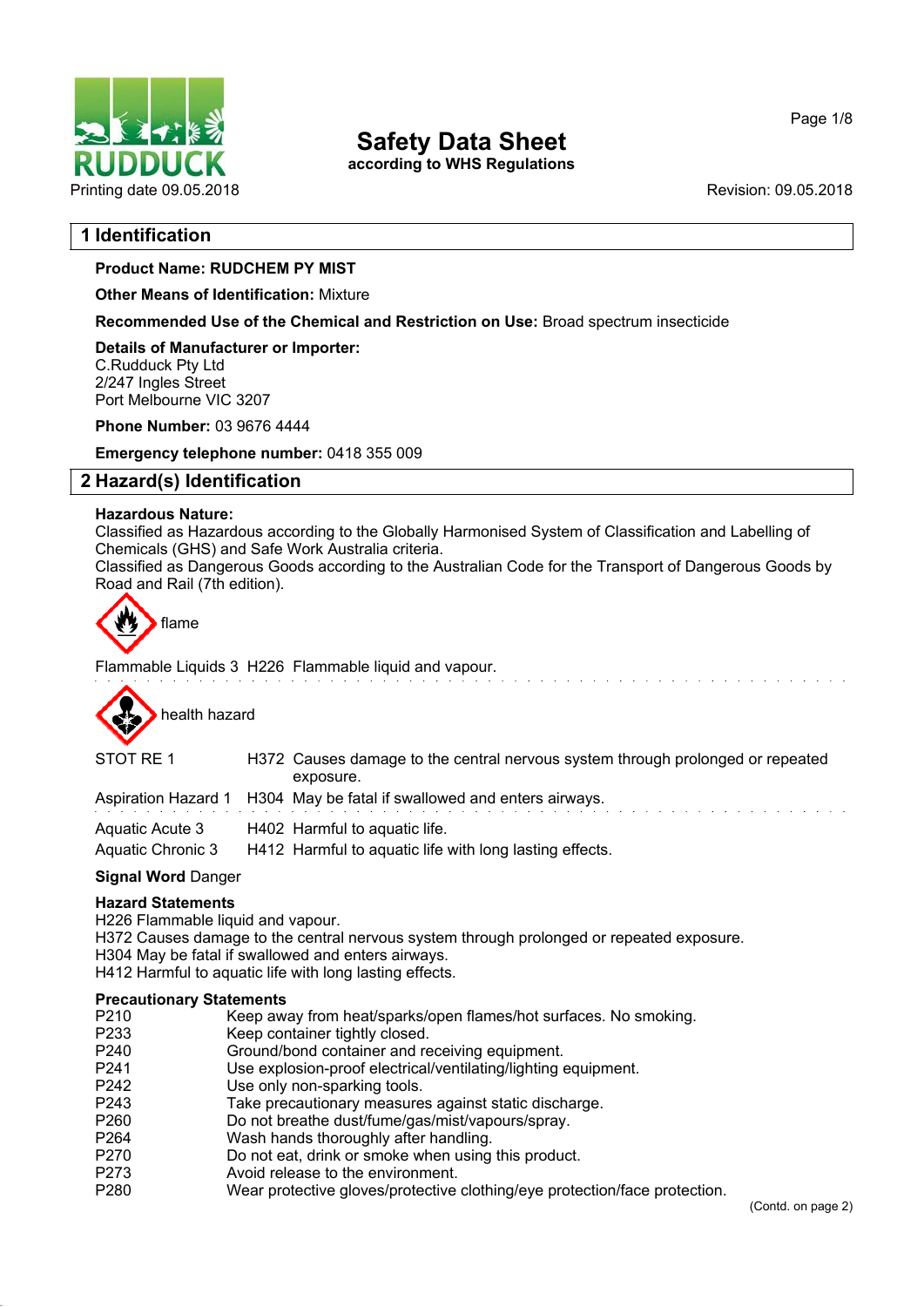

**according to WHS Regulations**

## **1 Identification**

#### **Product Name: RUDCHEM PY MIST**

**Other Means of Identification:** Mixture

**Recommended Use of the Chemical and Restriction on Use:** Broad spectrum insecticide

**Details of Manufacturer or Importer:** C.Rudduck Pty Ltd 2/247 Ingles Street Port Melbourne VIC 3207

**Phone Number:** 03 9676 4444

**Emergency telephone number:** 0418 355 009

### **2 Hazard(s) Identification**

#### **Hazardous Nature:**

Classified as Hazardous according to the Globally Harmonised System of Classification and Labelling of Chemicals (GHS) and Safe Work Australia criteria.

Classified as Dangerous Goods according to the Australian Code for the Transport of Dangerous Goods by Road and Rail (7th edition).



Flammable Liquids 3 H226 Flammable liquid and vapour.



| STOT RE 1         | H372 Causes damage to the central nervous system through prolonged or repeated<br>exposure. |
|-------------------|---------------------------------------------------------------------------------------------|
|                   | Aspiration Hazard 1 H304 May be fatal if swallowed and enters airways.                      |
| Aquatic Acute 3   | H402 Harmful to aquatic life.                                                               |
| Aquatic Chronic 3 | H412 Harmful to aquatic life with long lasting effects.                                     |

#### **Signal Word** Danger

#### **Hazard Statements**

H226 Flammable liquid and vapour.

- H372 Causes damage to the central nervous system through prolonged or repeated exposure.
- H304 May be fatal if swallowed and enters airways.
- H412 Harmful to aquatic life with long lasting effects.

#### **Precautionary Statements**

| P210 | Keep away from heat/sparks/open flames/hot surfaces. No smoking.           |
|------|----------------------------------------------------------------------------|
| P233 | Keep container tightly closed.                                             |
| P240 | Ground/bond container and receiving equipment.                             |
| P241 | Use explosion-proof electrical/ventilating/lighting equipment.             |
| P242 | Use only non-sparking tools.                                               |
| P243 | Take precautionary measures against static discharge.                      |
| P260 | Do not breathe dust/fume/gas/mist/vapours/spray.                           |
| P264 | Wash hands thoroughly after handling.                                      |
| P270 | Do not eat, drink or smoke when using this product.                        |
| P273 | Avoid release to the environment.                                          |
| P280 | Wear protective gloves/protective clothing/eye protection/face protection. |
|      |                                                                            |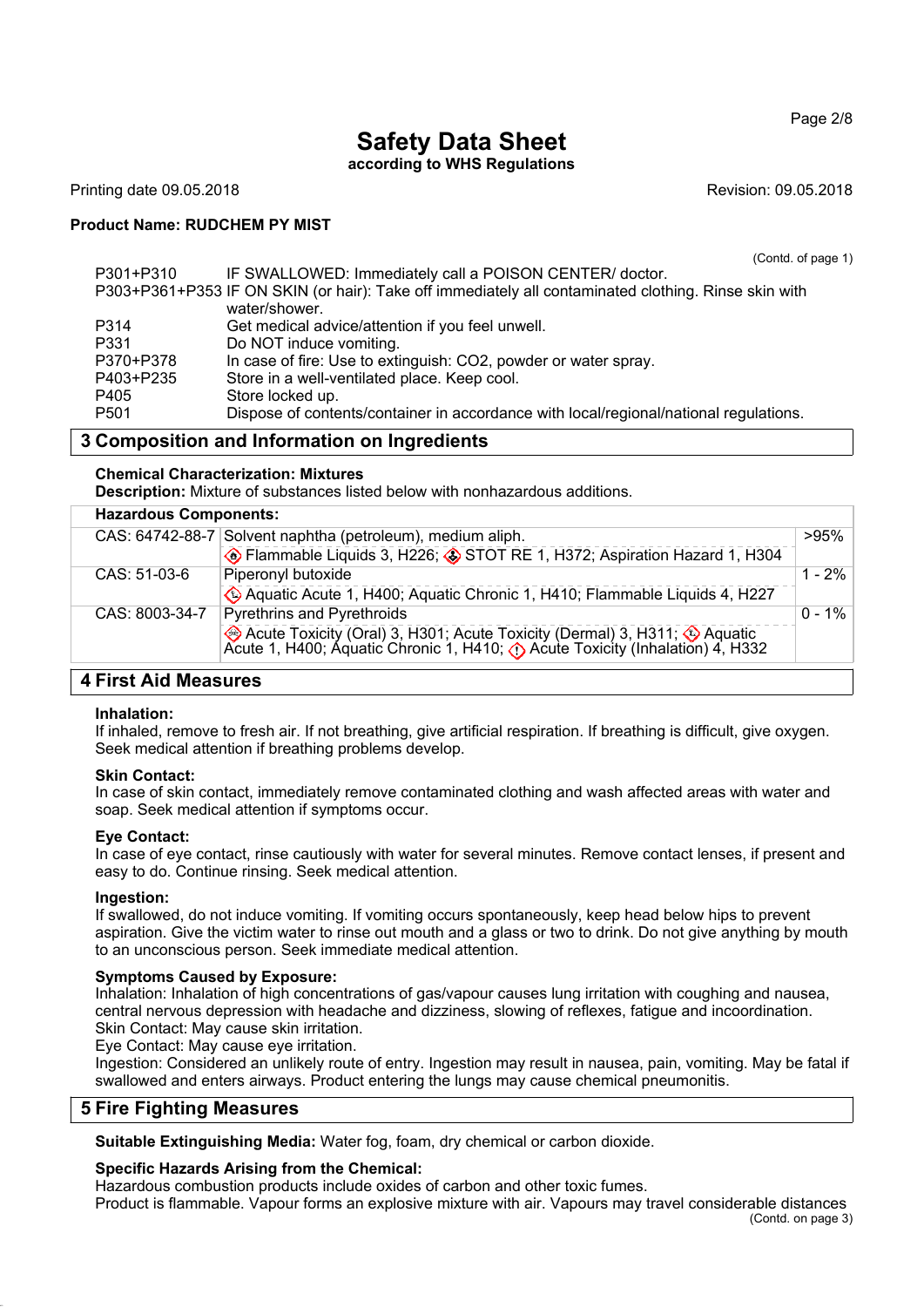Page 2/8

# **Safety Data Sheet**

## **according to WHS Regulations**

Printing date 09.05.2018 **Revision: 09.05.2018** Revision: 09.05.2018

#### **Product Name: RUDCHEM PY MIST**

(Contd. of page 1)

| P301+P310        | IF SWALLOWED: Immediately call a POISON CENTER/ doctor.                                              |
|------------------|------------------------------------------------------------------------------------------------------|
|                  | P303+P361+P353 IF ON SKIN (or hair): Take off immediately all contaminated clothing. Rinse skin with |
|                  | water/shower.                                                                                        |
| P314             | Get medical advice/attention if you feel unwell.                                                     |
| P331             | Do NOT induce vomiting.                                                                              |
| P370+P378        | In case of fire: Use to extinguish: CO2, powder or water spray.                                      |
| P403+P235        | Store in a well-ventilated place. Keep cool.                                                         |
| P405             | Store locked up.                                                                                     |
| P <sub>501</sub> | Dispose of contents/container in accordance with local/regional/national regulations.                |
|                  |                                                                                                      |

## **3 Composition and Information on Ingredients**

#### **Chemical Characterization: Mixtures**

**Description:** Mixture of substances listed below with nonhazardous additions.

| CAS: 64742-88-7 Solvent naphtha (petroleum), medium aliph. |                                                                                                                                                                           | >95%      |
|------------------------------------------------------------|---------------------------------------------------------------------------------------------------------------------------------------------------------------------------|-----------|
|                                                            | Flammable Liquids 3, H226; STOT RE 1, H372; Aspiration Hazard 1, H304                                                                                                     |           |
| CAS: 51-03-6                                               | Piperonyl butoxide                                                                                                                                                        | 1 - 2%    |
|                                                            | Aquatic Acute 1, H400; Aquatic Chronic 1, H410; Flammable Liquids 4, H227                                                                                                 |           |
| CAS: 8003-34-7                                             | <b>Pyrethrins and Pyrethroids</b>                                                                                                                                         | $0 - 1\%$ |
|                                                            | Acute Toxicity (Oral) 3, H301; Acute Toxicity (Dermal) 3, H311; $\bigcirc$ Aquatic Acute 1, H400; Aquatic Chronic 1, H410; $\bigcirc$ Acute Toxicity (Inhalation) 4, H332 |           |
|                                                            |                                                                                                                                                                           |           |

## **4 First Aid Measures**

#### **Inhalation:**

If inhaled, remove to fresh air. If not breathing, give artificial respiration. If breathing is difficult, give oxygen. Seek medical attention if breathing problems develop.

#### **Skin Contact:**

In case of skin contact, immediately remove contaminated clothing and wash affected areas with water and soap. Seek medical attention if symptoms occur.

#### **Eye Contact:**

In case of eye contact, rinse cautiously with water for several minutes. Remove contact lenses, if present and easy to do. Continue rinsing. Seek medical attention.

#### **Ingestion:**

If swallowed, do not induce vomiting. If vomiting occurs spontaneously, keep head below hips to prevent aspiration. Give the victim water to rinse out mouth and a glass or two to drink. Do not give anything by mouth to an unconscious person. Seek immediate medical attention.

#### **Symptoms Caused by Exposure:**

Inhalation: Inhalation of high concentrations of gas/vapour causes lung irritation with coughing and nausea, central nervous depression with headache and dizziness, slowing of reflexes, fatigue and incoordination. Skin Contact: May cause skin irritation.

Eye Contact: May cause eye irritation.

Ingestion: Considered an unlikely route of entry. Ingestion may result in nausea, pain, vomiting. May be fatal if swallowed and enters airways. Product entering the lungs may cause chemical pneumonitis.

#### **5 Fire Fighting Measures**

**Suitable Extinguishing Media:** Water fog, foam, dry chemical or carbon dioxide.

#### **Specific Hazards Arising from the Chemical:**

Hazardous combustion products include oxides of carbon and other toxic fumes. Product is flammable. Vapour forms an explosive mixture with air. Vapours may travel considerable distances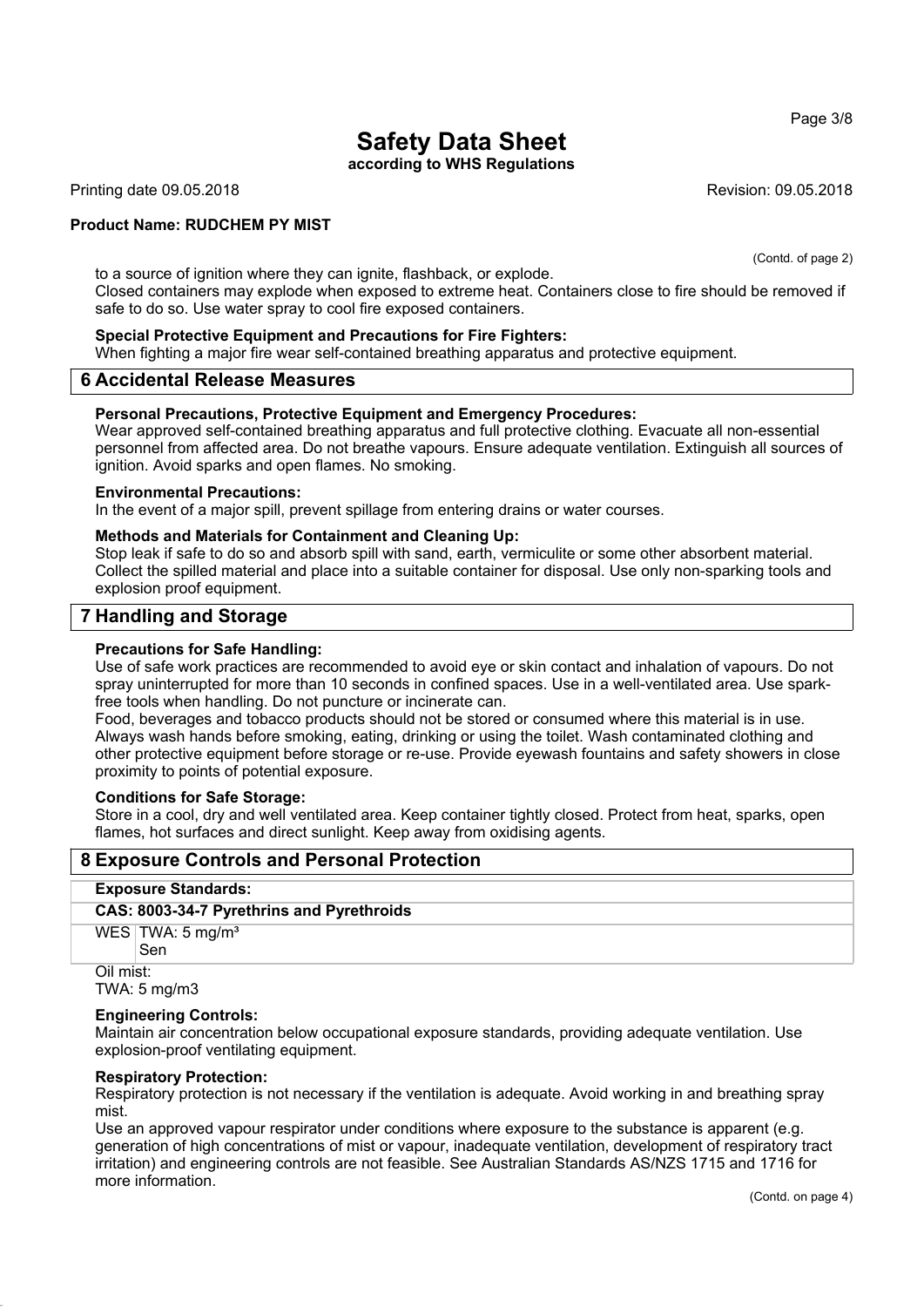**according to WHS Regulations**

Printing date 09.05.2018 **Revision: 09.05.2018** Revision: 09.05.2018

#### **Product Name: RUDCHEM PY MIST**

(Contd. of page 2)

to a source of ignition where they can ignite, flashback, or explode. Closed containers may explode when exposed to extreme heat. Containers close to fire should be removed if safe to do so. Use water spray to cool fire exposed containers.

#### **Special Protective Equipment and Precautions for Fire Fighters:**

When fighting a major fire wear self-contained breathing apparatus and protective equipment.

#### **6 Accidental Release Measures**

#### **Personal Precautions, Protective Equipment and Emergency Procedures:**

Wear approved self-contained breathing apparatus and full protective clothing. Evacuate all non-essential personnel from affected area. Do not breathe vapours. Ensure adequate ventilation. Extinguish all sources of ignition. Avoid sparks and open flames. No smoking.

#### **Environmental Precautions:**

In the event of a major spill, prevent spillage from entering drains or water courses.

#### **Methods and Materials for Containment and Cleaning Up:**

Stop leak if safe to do so and absorb spill with sand, earth, vermiculite or some other absorbent material. Collect the spilled material and place into a suitable container for disposal. Use only non-sparking tools and explosion proof equipment.

### **7 Handling and Storage**

#### **Precautions for Safe Handling:**

Use of safe work practices are recommended to avoid eye or skin contact and inhalation of vapours. Do not spray uninterrupted for more than 10 seconds in confined spaces. Use in a well-ventilated area. Use sparkfree tools when handling. Do not puncture or incinerate can.

Food, beverages and tobacco products should not be stored or consumed where this material is in use. Always wash hands before smoking, eating, drinking or using the toilet. Wash contaminated clothing and other protective equipment before storage or re-use. Provide eyewash fountains and safety showers in close proximity to points of potential exposure.

#### **Conditions for Safe Storage:**

Store in a cool, dry and well ventilated area. Keep container tightly closed. Protect from heat, sparks, open flames, hot surfaces and direct sunlight. Keep away from oxidising agents.

#### **8 Exposure Controls and Personal Protection**

#### **Exposure Standards:**

#### **CAS: 8003-34-7 Pyrethrins and Pyrethroids**

WES TWA: 5 mg/m<sup>3</sup>

Sen Oil mist:

TWA: 5 mg/m3

#### **Engineering Controls:**

Maintain air concentration below occupational exposure standards, providing adequate ventilation. Use explosion-proof ventilating equipment.

#### **Respiratory Protection:**

Respiratory protection is not necessary if the ventilation is adequate. Avoid working in and breathing spray mist.

Use an approved vapour respirator under conditions where exposure to the substance is apparent (e.g. generation of high concentrations of mist or vapour, inadequate ventilation, development of respiratory tract irritation) and engineering controls are not feasible. See Australian Standards AS/NZS 1715 and 1716 for more information.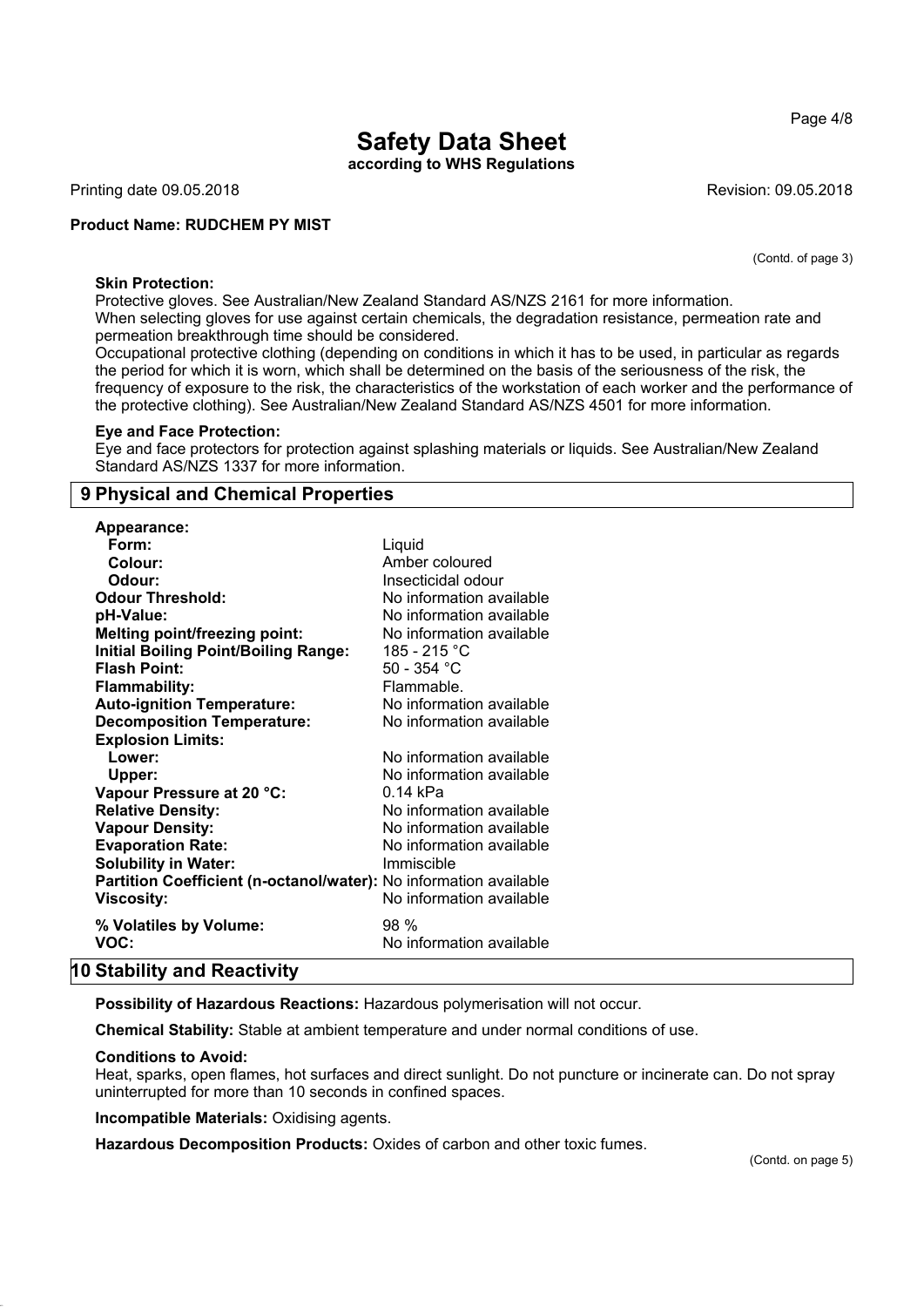**according to WHS Regulations**

Printing date 09.05.2018 **Revision: 09.05.2018** Revision: 09.05.2018

#### **Product Name: RUDCHEM PY MIST**

(Contd. of page 3)

Page 4/8

#### **Skin Protection:**

Protective gloves. See Australian/New Zealand Standard AS/NZS 2161 for more information. When selecting gloves for use against certain chemicals, the degradation resistance, permeation rate and permeation breakthrough time should be considered.

Occupational protective clothing (depending on conditions in which it has to be used, in particular as regards the period for which it is worn, which shall be determined on the basis of the seriousness of the risk, the frequency of exposure to the risk, the characteristics of the workstation of each worker and the performance of the protective clothing). See Australian/New Zealand Standard AS/NZS 4501 for more information.

#### **Eye and Face Protection:**

Eye and face protectors for protection against splashing materials or liquids. See Australian/New Zealand Standard AS/NZS 1337 for more information.

### **9 Physical and Chemical Properties**

| Appearance:                                                       |                          |
|-------------------------------------------------------------------|--------------------------|
| Form:                                                             | Liquid                   |
| Colour:                                                           | Amber coloured           |
| Odour:                                                            | Insecticidal odour       |
| <b>Odour Threshold:</b>                                           | No information available |
| pH-Value:                                                         | No information available |
| <b>Melting point/freezing point:</b>                              | No information available |
| <b>Initial Boiling Point/Boiling Range:</b>                       | 185 - 215 °C             |
| <b>Flash Point:</b>                                               | 50 - 354 °C              |
| <b>Flammability:</b>                                              | Flammable.               |
| <b>Auto-ignition Temperature:</b>                                 | No information available |
| <b>Decomposition Temperature:</b>                                 | No information available |
| <b>Explosion Limits:</b>                                          |                          |
| Lower:                                                            | No information available |
| Upper:                                                            | No information available |
| Vapour Pressure at 20 °C:                                         | 0.14 kPa                 |
| <b>Relative Density:</b>                                          | No information available |
| <b>Vapour Density:</b>                                            | No information available |
| <b>Evaporation Rate:</b>                                          | No information available |
| <b>Solubility in Water:</b>                                       | Immiscible               |
| Partition Coefficient (n-octanol/water): No information available |                          |
| <b>Viscosity:</b>                                                 | No information available |
| % Volatiles by Volume:                                            | 98%                      |
| VOC:                                                              | No information available |
|                                                                   |                          |

#### **10 Stability and Reactivity**

**Possibility of Hazardous Reactions:** Hazardous polymerisation will not occur.

**Chemical Stability:** Stable at ambient temperature and under normal conditions of use.

#### **Conditions to Avoid:**

Heat, sparks, open flames, hot surfaces and direct sunlight. Do not puncture or incinerate can. Do not spray uninterrupted for more than 10 seconds in confined spaces.

**Incompatible Materials:** Oxidising agents.

**Hazardous Decomposition Products:** Oxides of carbon and other toxic fumes.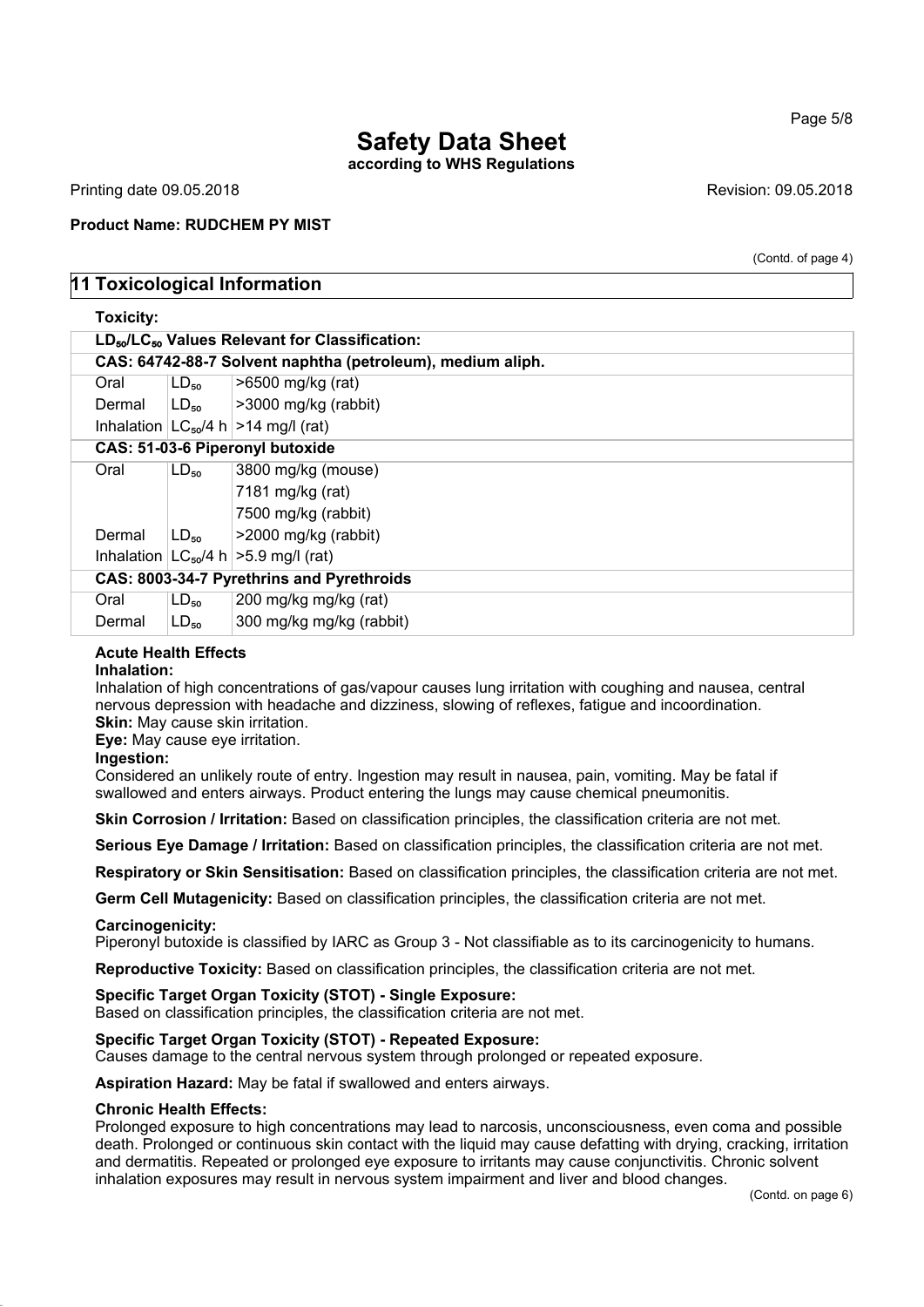**according to WHS Regulations**

Printing date 09.05.2018 **Revision: 09.05.2018** Revision: 09.05.2018

#### **Product Name: RUDCHEM PY MIST**

(Contd. of page 4)

## **11 Toxicological Information**

| <b>Toxicity:</b>                          |                                                            |                                             |  |  |  |
|-------------------------------------------|------------------------------------------------------------|---------------------------------------------|--|--|--|
|                                           | $LD_{50}/LC_{50}$ Values Relevant for Classification:      |                                             |  |  |  |
|                                           | CAS: 64742-88-7 Solvent naphtha (petroleum), medium aliph. |                                             |  |  |  |
| Oral                                      | $LD_{50}$                                                  | >6500 mg/kg (rat)                           |  |  |  |
| Dermal                                    |                                                            | $ LD_{50} $ >3000 mg/kg (rabbit)            |  |  |  |
|                                           |                                                            | Inhalation $ LC_{50}/4 h  > 14$ mg/l (rat)  |  |  |  |
|                                           | CAS: 51-03-6 Piperonyl butoxide                            |                                             |  |  |  |
| Oral                                      | $LD_{50}$                                                  | 3800 mg/kg (mouse)                          |  |  |  |
|                                           |                                                            | 7181 mg/kg (rat)                            |  |  |  |
|                                           |                                                            | 7500 mg/kg (rabbit)                         |  |  |  |
| Dermal                                    | $LD_{50}$                                                  | >2000 mg/kg (rabbit)                        |  |  |  |
|                                           |                                                            | Inhalation $ LG_{50}/4 h  > 5.9$ mg/l (rat) |  |  |  |
| CAS: 8003-34-7 Pyrethrins and Pyrethroids |                                                            |                                             |  |  |  |
| Oral                                      | $LD_{50}$                                                  | 200 mg/kg mg/kg (rat)                       |  |  |  |
| Dermal                                    | $LD_{50}$                                                  | 300 mg/kg mg/kg (rabbit)                    |  |  |  |

## **Acute Health Effects**

#### **Inhalation:**

Inhalation of high concentrations of gas/vapour causes lung irritation with coughing and nausea, central nervous depression with headache and dizziness, slowing of reflexes, fatigue and incoordination. **Skin:** May cause skin irritation.

**Eye:** May cause eye irritation.

**Ingestion:**

Considered an unlikely route of entry. Ingestion may result in nausea, pain, vomiting. May be fatal if swallowed and enters airways. Product entering the lungs may cause chemical pneumonitis.

**Skin Corrosion / Irritation:** Based on classification principles, the classification criteria are not met.

**Serious Eye Damage / Irritation:** Based on classification principles, the classification criteria are not met.

**Respiratory or Skin Sensitisation:** Based on classification principles, the classification criteria are not met.

**Germ Cell Mutagenicity:** Based on classification principles, the classification criteria are not met.

#### **Carcinogenicity:**

Piperonyl butoxide is classified by IARC as Group 3 - Not classifiable as to its carcinogenicity to humans.

**Reproductive Toxicity:** Based on classification principles, the classification criteria are not met.

#### **Specific Target Organ Toxicity (STOT) - Single Exposure:**

Based on classification principles, the classification criteria are not met.

#### **Specific Target Organ Toxicity (STOT) - Repeated Exposure:**

Causes damage to the central nervous system through prolonged or repeated exposure.

**Aspiration Hazard:** May be fatal if swallowed and enters airways.

#### **Chronic Health Effects:**

Prolonged exposure to high concentrations may lead to narcosis, unconsciousness, even coma and possible death. Prolonged or continuous skin contact with the liquid may cause defatting with drying, cracking, irritation and dermatitis. Repeated or prolonged eye exposure to irritants may cause conjunctivitis. Chronic solvent inhalation exposures may result in nervous system impairment and liver and blood changes.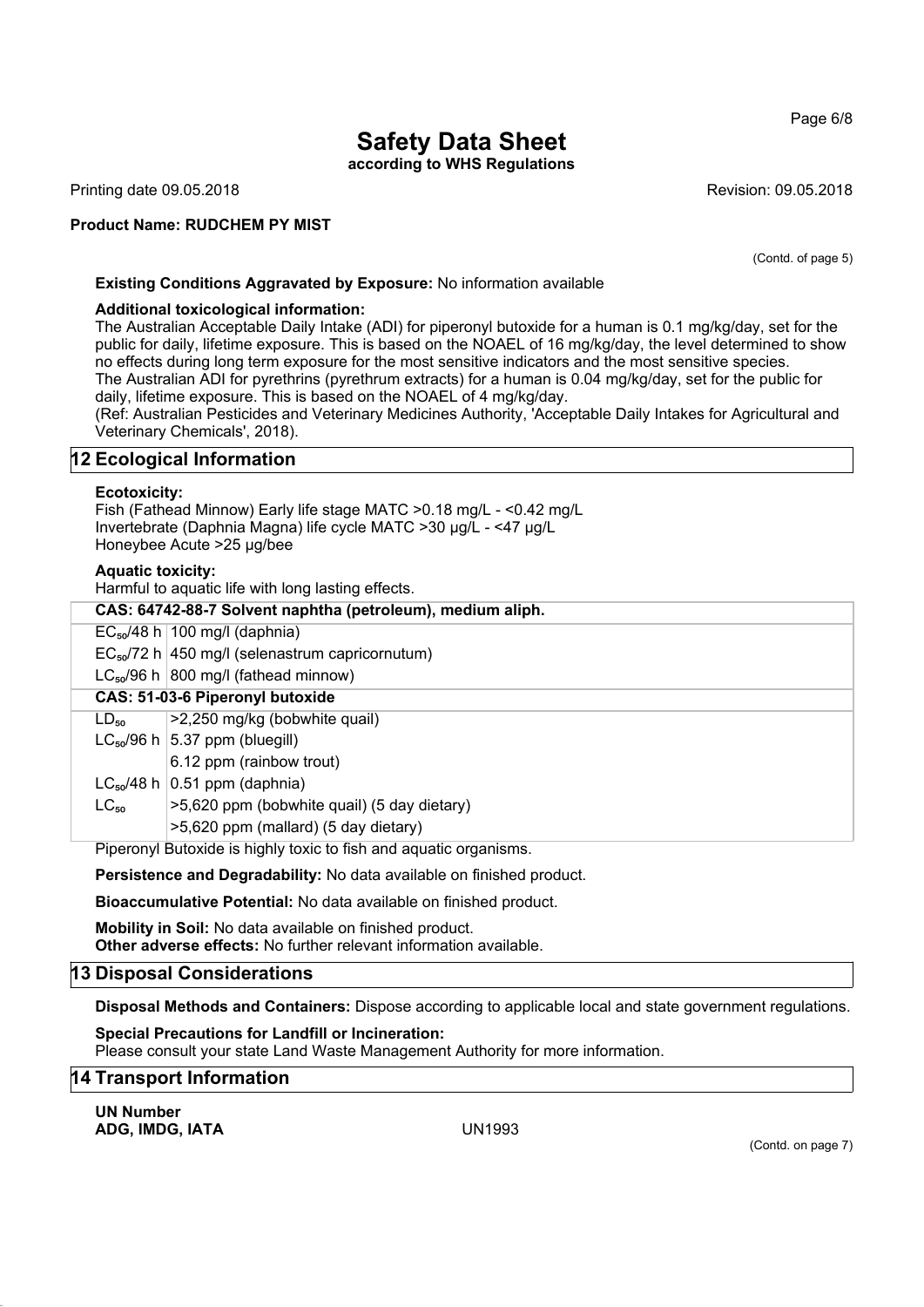**according to WHS Regulations**

Printing date 09.05.2018 **Revision: 09.05.2018** Revision: 09.05.2018

**Product Name: RUDCHEM PY MIST**

(Contd. of page 5)

Page 6/8

#### **Existing Conditions Aggravated by Exposure:** No information available

#### **Additional toxicological information:**

The Australian Acceptable Daily Intake (ADI) for piperonyl butoxide for a human is 0.1 mg/kg/day, set for the public for daily, lifetime exposure. This is based on the NOAEL of 16 mg/kg/day, the level determined to show no effects during long term exposure for the most sensitive indicators and the most sensitive species. The Australian ADI for pyrethrins (pyrethrum extracts) for a human is 0.04 mg/kg/day, set for the public for daily, lifetime exposure. This is based on the NOAEL of 4 mg/kg/day.

(Ref: Australian Pesticides and Veterinary Medicines Authority, 'Acceptable Daily Intakes for Agricultural and Veterinary Chemicals', 2018).

## **12 Ecological Information**

#### **Ecotoxicity:**

Fish (Fathead Minnow) Early life stage MATC >0.18 mg/L - <0.42 mg/L Invertebrate (Daphnia Magna) life cycle MATC >30 μg/L - <47 μg/L Honeybee Acute >25 μg/bee

#### **Aquatic toxicity:**

Harmful to aquatic life with long lasting effects.

| CAS: 64742-88-7 Solvent naphtha (petroleum), medium aliph.        |                                                      |  |  |
|-------------------------------------------------------------------|------------------------------------------------------|--|--|
|                                                                   | $EC_{50}/48$ h   100 mg/l (daphnia)                  |  |  |
|                                                                   | $EC_{50}$ /72 h 450 mg/l (selenastrum capricornutum) |  |  |
|                                                                   | $LC_{50}/96$ h 800 mg/l (fathead minnow)             |  |  |
|                                                                   | CAS: 51-03-6 Piperonyl butoxide                      |  |  |
| $LD_{50}$                                                         | >2,250 mg/kg (bobwhite quail)                        |  |  |
|                                                                   | $LC_{50}/96$ h $ 5.37$ ppm (bluegill)                |  |  |
|                                                                   | 6.12 ppm (rainbow trout)                             |  |  |
|                                                                   | $LC_{50}/48$ h $\vert$ 0.51 ppm (daphnia)            |  |  |
| $LC_{50}$                                                         | $\ge$ 5,620 ppm (bobwhite quail) (5 day dietary)     |  |  |
|                                                                   | >5,620 ppm (mallard) (5 day dietary)                 |  |  |
| Piperonyl Butoxide is highly toxic to fish and aquatic organisms. |                                                      |  |  |

**Persistence and Degradability:** No data available on finished product.

**Bioaccumulative Potential:** No data available on finished product.

**Mobility in Soil:** No data available on finished product. **Other adverse effects:** No further relevant information available.

#### **13 Disposal Considerations**

**Disposal Methods and Containers:** Dispose according to applicable local and state government regulations.

**Special Precautions for Landfill or Incineration:** Please consult your state Land Waste Management Authority for more information.

#### **14 Transport Information**

**UN Number ADG, IMDG, IATA** UN1993

(Contd. on page 7)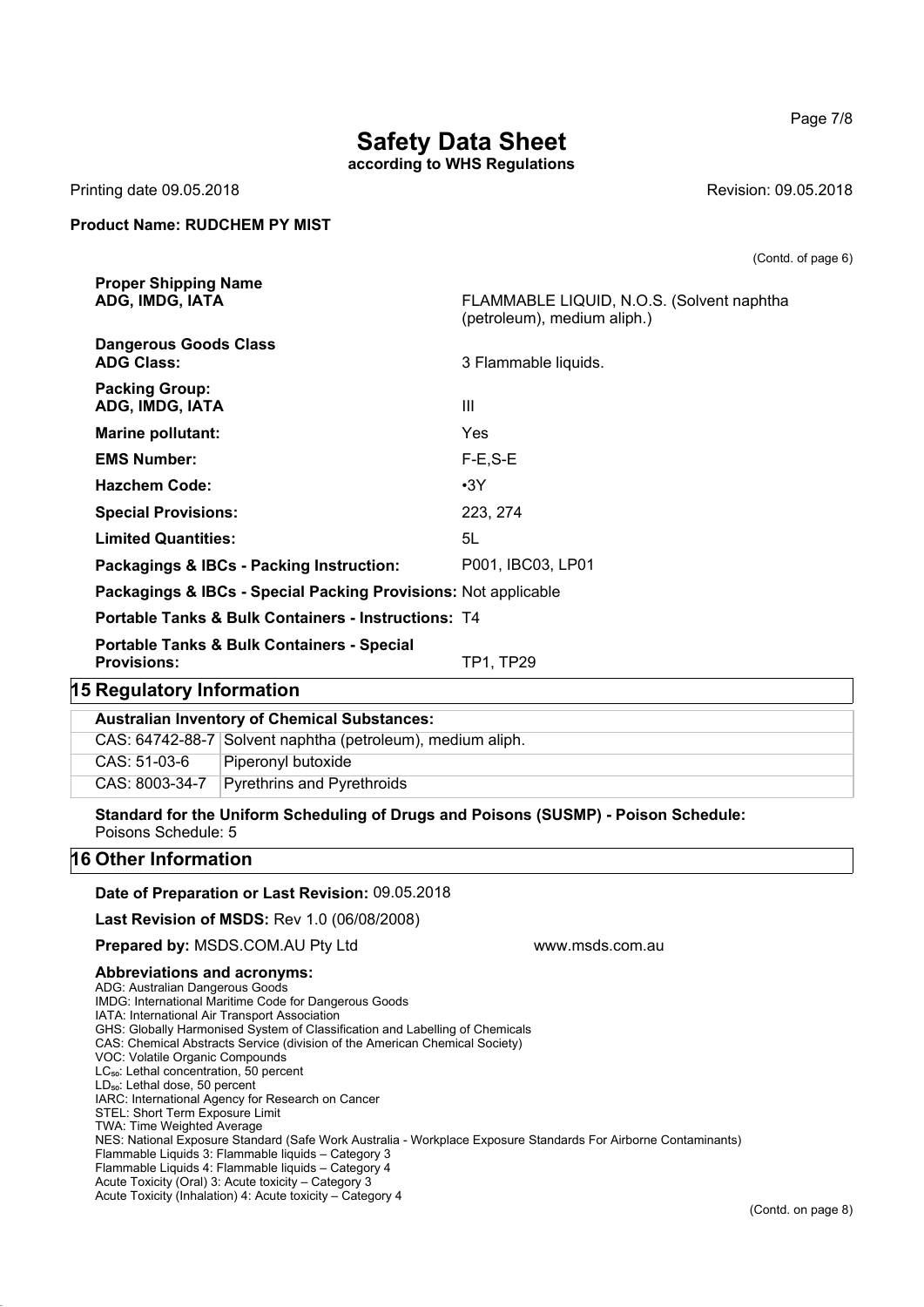**according to WHS Regulations**

**ADG, IMDG, IATA** FLAMMABLE LIQUID, N.O.S. (Solvent naphtha

(petroleum), medium aliph.)

Printing date 09.05.2018 **Revision: 09.05.2018** Revision: 09.05.2018

#### **Product Name: RUDCHEM PY MIST**

**Proper Shipping Name**

|                           | <b>Dangerous Goods Class</b><br><b>ADG Class:</b>                           | 3 Flammable liquids. |
|---------------------------|-----------------------------------------------------------------------------|----------------------|
|                           | <b>Packing Group:</b><br>ADG, IMDG, IATA                                    | $\mathbf{III}$       |
|                           | <b>Marine pollutant:</b>                                                    | Yes                  |
|                           | <b>EMS Number:</b>                                                          | $F-E, S-E$           |
|                           | <b>Hazchem Code:</b>                                                        | $\cdot$ 3Y           |
|                           | <b>Special Provisions:</b>                                                  | 223, 274             |
|                           | <b>Limited Quantities:</b>                                                  | 5L                   |
|                           | Packagings & IBCs - Packing Instruction:                                    | P001, IBC03, LP01    |
|                           | Packagings & IBCs - Special Packing Provisions: Not applicable              |                      |
|                           | <b>Portable Tanks &amp; Bulk Containers - Instructions: T4</b>              |                      |
|                           | <b>Portable Tanks &amp; Bulk Containers - Special</b><br><b>Provisions:</b> | TP1, TP29            |
| 15 Regulatory Information |                                                                             |                      |
|                           | <b>Australian Inventory of Chemical Substances:</b>                         |                      |
|                           | CAS: 64742-88-7 Solvent naphtha (petroleum), medium aliph.                  |                      |

**Standard for the Uniform Scheduling of Drugs and Poisons (SUSMP) - Poison Schedule:** Poisons Schedule: 5

## **16 Other Information**

#### **Date of Preparation or Last Revision:** 09.05.2018

**Last Revision of MSDS:** Rev 1.0 (06/08/2008)

**Prepared by: MSDS.COM.AU Ptv Ltd www.msds.com.au compared by: MSDS.COM.AU Ptv Ltd** 

CAS: 51-03-6 Piperonyl butoxide

CAS: 8003-34-7 Pyrethrins and Pyrethroids

#### **Abbreviations and acronyms:**

- ADG: Australian Dangerous Goods IMDG: International Maritime Code for Dangerous Goods
- IATA: International Air Transport Association
- GHS: Globally Harmonised System of Classification and Labelling of Chemicals
- CAS: Chemical Abstracts Service (division of the American Chemical Society)
- VOC: Volatile Organic Compounds
- LC<sub>50</sub>: Lethal concentration, 50 percent
- LD<sub>50</sub>: Lethal dose, 50 percent
- IARC: International Agency for Research on Cancer
- STEL: Short Term Exposure Limit
- TWA: Time Weighted Average
- NES: National Exposure Standard (Safe Work Australia Workplace Exposure Standards For Airborne Contaminants)
- Flammable Liquids 3: Flammable liquids Category 3 Flammable Liquids 4: Flammable liquids – Category 4
- Acute Toxicity (Oral) 3: Acute toxicity Category 3
- Acute Toxicity (Inhalation) 4: Acute toxicity Category 4

(Contd. of page 6)